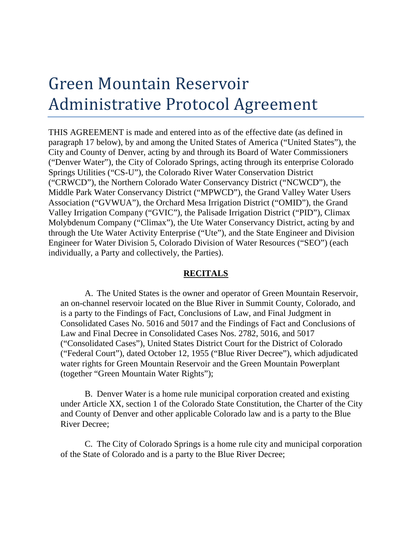## Green Mountain Reservoir Administrative Protocol Agreement

THIS AGREEMENT is made and entered into as of the effective date (as defined in paragraph 17 below), by and among the United States of America ("United States"), the City and County of Denver, acting by and through its Board of Water Commissioners ("Denver Water"), the City of Colorado Springs, acting through its enterprise Colorado Springs Utilities ("CS-U"), the Colorado River Water Conservation District ("CRWCD"), the Northern Colorado Water Conservancy District ("NCWCD"), the Middle Park Water Conservancy District ("MPWCD"), the Grand Valley Water Users Association ("GVWUA"), the Orchard Mesa Irrigation District ("OMID"), the Grand Valley Irrigation Company ("GVIC"), the Palisade Irrigation District ("PID"), Climax Molybdenum Company ("Climax"), the Ute Water Conservancy District, acting by and through the Ute Water Activity Enterprise ("Ute"), and the State Engineer and Division Engineer for Water Division 5, Colorado Division of Water Resources ("SEO") (each individually, a Party and collectively, the Parties).

## **RECITALS**

A. The United States is the owner and operator of Green Mountain Reservoir, an on-channel reservoir located on the Blue River in Summit County, Colorado, and is a party to the Findings of Fact, Conclusions of Law, and Final Judgment in Consolidated Cases No. 5016 and 5017 and the Findings of Fact and Conclusions of Law and Final Decree in Consolidated Cases Nos. 2782, 5016, and 5017 ("Consolidated Cases"), United States District Court for the District of Colorado ("Federal Court"), dated October 12, 1955 ("Blue River Decree"), which adjudicated water rights for Green Mountain Reservoir and the Green Mountain Powerplant (together "Green Mountain Water Rights");

B. Denver Water is a home rule municipal corporation created and existing under Article XX, section 1 of the Colorado State Constitution, the Charter of the City and County of Denver and other applicable Colorado law and is a party to the Blue River Decree;

C. The City of Colorado Springs is a home rule city and municipal corporation of the State of Colorado and is a party to the Blue River Decree;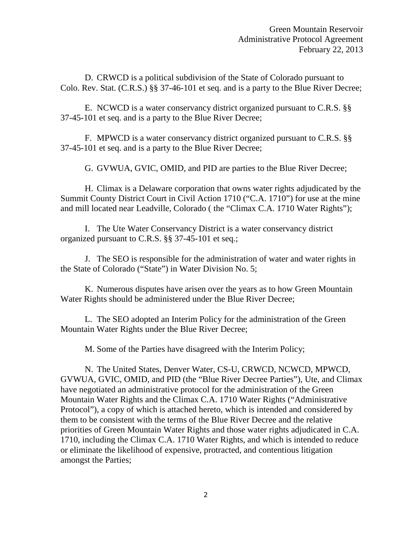D. CRWCD is a political subdivision of the State of Colorado pursuant to Colo. Rev. Stat. (C.R.S.) §§ 37-46-101 et seq. and is a party to the Blue River Decree;

E. NCWCD is a water conservancy district organized pursuant to C.R.S. §§ 37-45-101 et seq. and is a party to the Blue River Decree;

F. MPWCD is a water conservancy district organized pursuant to C.R.S. §§ 37-45-101 et seq. and is a party to the Blue River Decree;

G. GVWUA, GVIC, OMID, and PID are parties to the Blue River Decree;

H. Climax is a Delaware corporation that owns water rights adjudicated by the Summit County District Court in Civil Action 1710 ("C.A. 1710") for use at the mine and mill located near Leadville, Colorado ( the "Climax C.A. 1710 Water Rights");

I. The Ute Water Conservancy District is a water conservancy district organized pursuant to C.R.S. §§ 37-45-101 et seq.;

J. The SEO is responsible for the administration of water and water rights in the State of Colorado ("State") in Water Division No. 5;

K. Numerous disputes have arisen over the years as to how Green Mountain Water Rights should be administered under the Blue River Decree;

L. The SEO adopted an Interim Policy for the administration of the Green Mountain Water Rights under the Blue River Decree;

M. Some of the Parties have disagreed with the Interim Policy;

N. The United States, Denver Water, CS-U, CRWCD, NCWCD, MPWCD, GVWUA, GVIC, OMID, and PID (the "Blue River Decree Parties"), Ute, and Climax have negotiated an administrative protocol for the administration of the Green Mountain Water Rights and the Climax C.A. 1710 Water Rights ("Administrative Protocol"), a copy of which is attached hereto, which is intended and considered by them to be consistent with the terms of the Blue River Decree and the relative priorities of Green Mountain Water Rights and those water rights adjudicated in C.A. 1710, including the Climax C.A. 1710 Water Rights, and which is intended to reduce or eliminate the likelihood of expensive, protracted, and contentious litigation amongst the Parties;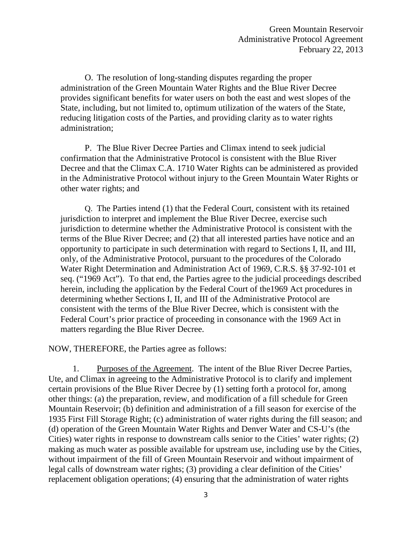O. The resolution of long-standing disputes regarding the proper administration of the Green Mountain Water Rights and the Blue River Decree provides significant benefits for water users on both the east and west slopes of the State, including, but not limited to, optimum utilization of the waters of the State, reducing litigation costs of the Parties, and providing clarity as to water rights administration;

P. The Blue River Decree Parties and Climax intend to seek judicial confirmation that the Administrative Protocol is consistent with the Blue River Decree and that the Climax C.A. 1710 Water Rights can be administered as provided in the Administrative Protocol without injury to the Green Mountain Water Rights or other water rights; and

Q. The Parties intend (1) that the Federal Court, consistent with its retained jurisdiction to interpret and implement the Blue River Decree, exercise such jurisdiction to determine whether the Administrative Protocol is consistent with the terms of the Blue River Decree; and (2) that all interested parties have notice and an opportunity to participate in such determination with regard to Sections I, II, and III, only, of the Administrative Protocol, pursuant to the procedures of the Colorado Water Right Determination and Administration Act of 1969, C.R.S. §§ 37-92-101 et seq. ("1969 Act"). To that end, the Parties agree to the judicial proceedings described herein, including the application by the Federal Court of the1969 Act procedures in determining whether Sections I, II, and III of the Administrative Protocol are consistent with the terms of the Blue River Decree, which is consistent with the Federal Court's prior practice of proceeding in consonance with the 1969 Act in matters regarding the Blue River Decree.

NOW, THEREFORE, the Parties agree as follows:

1. Purposes of the Agreement. The intent of the Blue River Decree Parties, Ute, and Climax in agreeing to the Administrative Protocol is to clarify and implement certain provisions of the Blue River Decree by (1) setting forth a protocol for, among other things: (a) the preparation, review, and modification of a fill schedule for Green Mountain Reservoir; (b) definition and administration of a fill season for exercise of the 1935 First Fill Storage Right; (c) administration of water rights during the fill season; and (d) operation of the Green Mountain Water Rights and Denver Water and CS-U's (the Cities) water rights in response to downstream calls senior to the Cities' water rights; (2) making as much water as possible available for upstream use, including use by the Cities, without impairment of the fill of Green Mountain Reservoir and without impairment of legal calls of downstream water rights; (3) providing a clear definition of the Cities' replacement obligation operations; (4) ensuring that the administration of water rights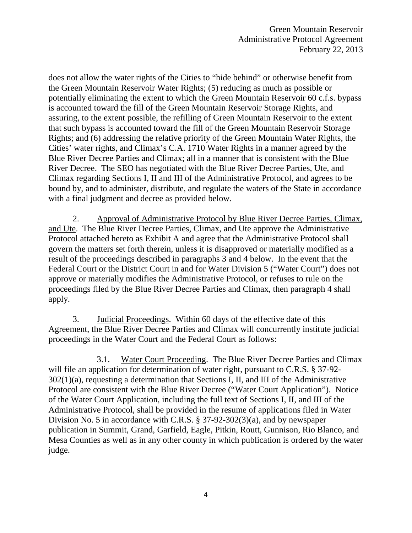does not allow the water rights of the Cities to "hide behind" or otherwise benefit from the Green Mountain Reservoir Water Rights; (5) reducing as much as possible or potentially eliminating the extent to which the Green Mountain Reservoir 60 c.f.s. bypass is accounted toward the fill of the Green Mountain Reservoir Storage Rights, and assuring, to the extent possible, the refilling of Green Mountain Reservoir to the extent that such bypass is accounted toward the fill of the Green Mountain Reservoir Storage Rights; and (6) addressing the relative priority of the Green Mountain Water Rights, the Cities' water rights, and Climax's C.A. 1710 Water Rights in a manner agreed by the Blue River Decree Parties and Climax; all in a manner that is consistent with the Blue River Decree. The SEO has negotiated with the Blue River Decree Parties, Ute, and Climax regarding Sections I, II and III of the Administrative Protocol, and agrees to be bound by, and to administer, distribute, and regulate the waters of the State in accordance with a final judgment and decree as provided below.

2. Approval of Administrative Protocol by Blue River Decree Parties, Climax, and Ute. The Blue River Decree Parties, Climax, and Ute approve the Administrative Protocol attached hereto as Exhibit A and agree that the Administrative Protocol shall govern the matters set forth therein, unless it is disapproved or materially modified as a result of the proceedings described in paragraphs 3 and 4 below. In the event that the Federal Court or the District Court in and for Water Division 5 ("Water Court") does not approve or materially modifies the Administrative Protocol, or refuses to rule on the proceedings filed by the Blue River Decree Parties and Climax, then paragraph 4 shall apply.

3. Judicial Proceedings. Within 60 days of the effective date of this Agreement, the Blue River Decree Parties and Climax will concurrently institute judicial proceedings in the Water Court and the Federal Court as follows:

3.1. Water Court Proceeding. The Blue River Decree Parties and Climax will file an application for determination of water right, pursuant to C.R.S. § 37-92-302(1)(a), requesting a determination that Sections I, II, and III of the Administrative Protocol are consistent with the Blue River Decree ("Water Court Application"). Notice of the Water Court Application, including the full text of Sections I, II, and III of the Administrative Protocol, shall be provided in the resume of applications filed in Water Division No. 5 in accordance with C.R.S. § 37-92-302(3)(a), and by newspaper publication in Summit, Grand, Garfield, Eagle, Pitkin, Routt, Gunnison, Rio Blanco, and Mesa Counties as well as in any other county in which publication is ordered by the water judge.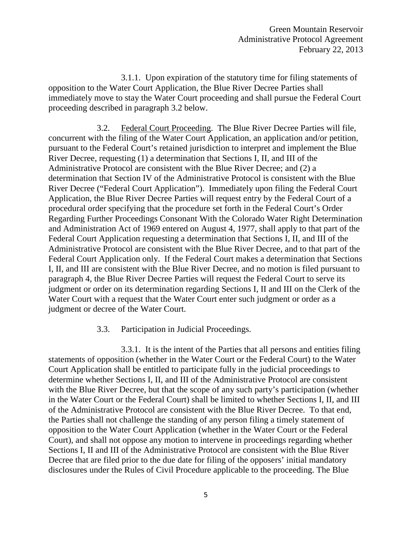3.1.1. Upon expiration of the statutory time for filing statements of opposition to the Water Court Application, the Blue River Decree Parties shall immediately move to stay the Water Court proceeding and shall pursue the Federal Court proceeding described in paragraph 3.2 below.

3.2. Federal Court Proceeding. The Blue River Decree Parties will file, concurrent with the filing of the Water Court Application, an application and/or petition, pursuant to the Federal Court's retained jurisdiction to interpret and implement the Blue River Decree, requesting (1) a determination that Sections I, II, and III of the Administrative Protocol are consistent with the Blue River Decree; and (2) a determination that Section IV of the Administrative Protocol is consistent with the Blue River Decree ("Federal Court Application"). Immediately upon filing the Federal Court Application, the Blue River Decree Parties will request entry by the Federal Court of a procedural order specifying that the procedure set forth in the Federal Court's Order Regarding Further Proceedings Consonant With the Colorado Water Right Determination and Administration Act of 1969 entered on August 4, 1977, shall apply to that part of the Federal Court Application requesting a determination that Sections I, II, and III of the Administrative Protocol are consistent with the Blue River Decree, and to that part of the Federal Court Application only. If the Federal Court makes a determination that Sections I, II, and III are consistent with the Blue River Decree, and no motion is filed pursuant to paragraph 4, the Blue River Decree Parties will request the Federal Court to serve its judgment or order on its determination regarding Sections I, II and III on the Clerk of the Water Court with a request that the Water Court enter such judgment or order as a judgment or decree of the Water Court.

## 3.3. Participation in Judicial Proceedings.

3.3.1. It is the intent of the Parties that all persons and entities filing statements of opposition (whether in the Water Court or the Federal Court) to the Water Court Application shall be entitled to participate fully in the judicial proceedings to determine whether Sections I, II, and III of the Administrative Protocol are consistent with the Blue River Decree, but that the scope of any such party's participation (whether in the Water Court or the Federal Court) shall be limited to whether Sections I, II, and III of the Administrative Protocol are consistent with the Blue River Decree. To that end, the Parties shall not challenge the standing of any person filing a timely statement of opposition to the Water Court Application (whether in the Water Court or the Federal Court), and shall not oppose any motion to intervene in proceedings regarding whether Sections I, II and III of the Administrative Protocol are consistent with the Blue River Decree that are filed prior to the due date for filing of the opposers' initial mandatory disclosures under the Rules of Civil Procedure applicable to the proceeding. The Blue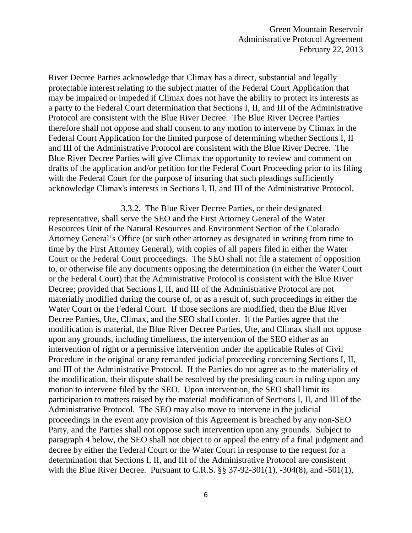River Decree Parties acknowledge that Climax has a direct, substantial and legally protectable interest relating to the subject matter of the Federal Court Application that may be impaired or impeded if Climax does not have the ability to protect its interests as a party to the Federal Court determination that Sections I, II, and III of the Administrative Protocol are consistent with the Blue River Decree. The Blue River Decree Parties therefore shall not oppose and shall consent to any motion to intervene by Climax in the Federal Court Application for the limited purpose of determining whether Sections I, II and III of the Administrative Protocol are consistent with the Blue River Decree. The Blue River Decree Parties will give Climax the opportunity to review and comment on drafts of the application and/or petition for the Federal Court Proceeding prior to its filing with the Federal Court for the purpose of insuring that such pleadings sufficiently acknowledge Climax's interests in Sections I, II, and III of the Administrative Protocol.

3.3.2. The Blue River Decree Parties, or their designated representative, shall serve the SEO and the First Attorney General of the Water Resources Unit of the Natural Resources and Environment Section of the Colorado Attorney General's Office (or such other attorney as designated in writing from time to time by the First Attorney General), with copies of all papers filed in either the Water Court or the Federal Court proceedings. The SEO shall not file a statement of opposition to, or otherwise file any documents opposing the determination (in either the Water Court or the Federal Court) that the Administrative Protocol is consistent with the Blue River Decree; provided that Sections I, II, and III of the Administrative Protocol are not materially modified during the course of, or as a result of, such proceedings in either the Water Court or the Federal Court. If those sections are modified, then the Blue River Decree Parties, Ute, Climax, and the SEO shall confer. If the Parties agree that the modification is material, the Blue River Decree Parties, Ute, and Climax shall not oppose upon any grounds, including timeliness, the intervention of the SEO either as an intervention of right or a permissive intervention under the applicable Rules of Civil Procedure in the original or any remanded judicial proceeding concerning Sections I, II, and III of the Administrative Protocol. If the Parties do not agree as to the materiality of the modification, their dispute shall be resolved by the presiding court in ruling upon any motion to intervene filed by the SEO. Upon intervention, the SEO shall limit its participation to matters raised by the material modification of Sections I, II, and III of the Administrative Protocol. The SEO may also move to intervene in the judicial proceedings in the event any provision of this Agreement is breached by any non-SEO Party, and the Parties shall not oppose such intervention upon any grounds. Subject to paragraph 4 below, the SEO shall not object to or appeal the entry of a final judgment and decree by either the Federal Court or the Water Court in response to the request for a determination that Sections I, II, and III of the Administrative Protocol are consistent with the Blue River Decree. Pursuant to C.R.S. §§ 37-92-301(1), -304(8), and -501(1),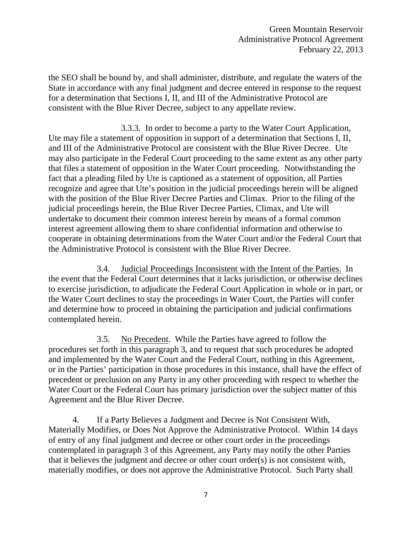the SEO shall be bound by, and shall administer, distribute, and regulate the waters of the State in accordance with any final judgment and decree entered in response to the request for a determination that Sections I, II, and III of the Administrative Protocol are consistent with the Blue River Decree, subject to any appellate review.

3.3.3. In order to become a party to the Water Court Application, Ute may file a statement of opposition in support of a determination that Sections I, II, and III of the Administrative Protocol are consistent with the Blue River Decree. Ute may also participate in the Federal Court proceeding to the same extent as any other party that files a statement of opposition in the Water Court proceeding. Notwithstanding the fact that a pleading filed by Ute is captioned as a statement of opposition, all Parties recognize and agree that Ute's position in the judicial proceedings herein will be aligned with the position of the Blue River Decree Parties and Climax. Prior to the filing of the judicial proceedings herein, the Blue River Decree Parties, Climax, and Ute will undertake to document their common interest herein by means of a formal common interest agreement allowing them to share confidential information and otherwise to cooperate in obtaining determinations from the Water Court and/or the Federal Court that the Administrative Protocol is consistent with the Blue River Decree.

3.4. Judicial Proceedings Inconsistent with the Intent of the Parties. In the event that the Federal Court determines that it lacks jurisdiction, or otherwise declines to exercise jurisdiction, to adjudicate the Federal Court Application in whole or in part, or the Water Court declines to stay the proceedings in Water Court, the Parties will confer and determine how to proceed in obtaining the participation and judicial confirmations contemplated herein.

3.5. No Precedent. While the Parties have agreed to follow the procedures set forth in this paragraph 3, and to request that such procedures be adopted and implemented by the Water Court and the Federal Court, nothing in this Agreement, or in the Parties' participation in those procedures in this instance, shall have the effect of precedent or preclusion on any Party in any other proceeding with respect to whether the Water Court or the Federal Court has primary jurisdiction over the subject matter of this Agreement and the Blue River Decree.

4. If a Party Believes a Judgment and Decree is Not Consistent With, Materially Modifies, or Does Not Approve the Administrative Protocol. Within 14 days of entry of any final judgment and decree or other court order in the proceedings contemplated in paragraph 3 of this Agreement, any Party may notify the other Parties that it believes the judgment and decree or other court order(s) is not consistent with, materially modifies, or does not approve the Administrative Protocol. Such Party shall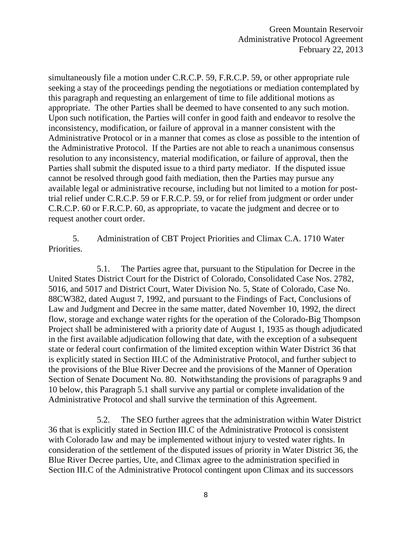simultaneously file a motion under C.R.C.P. 59, F.R.C.P. 59, or other appropriate rule seeking a stay of the proceedings pending the negotiations or mediation contemplated by this paragraph and requesting an enlargement of time to file additional motions as appropriate. The other Parties shall be deemed to have consented to any such motion. Upon such notification, the Parties will confer in good faith and endeavor to resolve the inconsistency, modification, or failure of approval in a manner consistent with the Administrative Protocol or in a manner that comes as close as possible to the intention of the Administrative Protocol. If the Parties are not able to reach a unanimous consensus resolution to any inconsistency, material modification, or failure of approval, then the Parties shall submit the disputed issue to a third party mediator. If the disputed issue cannot be resolved through good faith mediation, then the Parties may pursue any available legal or administrative recourse, including but not limited to a motion for posttrial relief under C.R.C.P. 59 or F.R.C.P. 59, or for relief from judgment or order under C.R.C.P. 60 or F.R.C.P. 60, as appropriate, to vacate the judgment and decree or to request another court order.

5. Administration of CBT Project Priorities and Climax C.A. 1710 Water Priorities.

5.1. The Parties agree that, pursuant to the Stipulation for Decree in the United States District Court for the District of Colorado, Consolidated Case Nos. 2782, 5016, and 5017 and District Court, Water Division No. 5, State of Colorado, Case No. 88CW382, dated August 7, 1992, and pursuant to the Findings of Fact, Conclusions of Law and Judgment and Decree in the same matter, dated November 10, 1992, the direct flow, storage and exchange water rights for the operation of the Colorado-Big Thompson Project shall be administered with a priority date of August 1, 1935 as though adjudicated in the first available adjudication following that date, with the exception of a subsequent state or federal court confirmation of the limited exception within Water District 36 that is explicitly stated in Section III.C of the Administrative Protocol, and further subject to the provisions of the Blue River Decree and the provisions of the Manner of Operation Section of Senate Document No. 80. Notwithstanding the provisions of paragraphs 9 and 10 below, this Paragraph 5.1 shall survive any partial or complete invalidation of the Administrative Protocol and shall survive the termination of this Agreement.

5.2. The SEO further agrees that the administration within Water District 36 that is explicitly stated in Section III.C of the Administrative Protocol is consistent with Colorado law and may be implemented without injury to vested water rights. In consideration of the settlement of the disputed issues of priority in Water District 36, the Blue River Decree parties, Ute, and Climax agree to the administration specified in Section III.C of the Administrative Protocol contingent upon Climax and its successors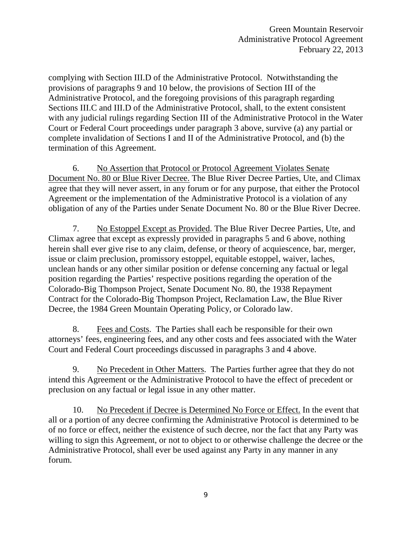complying with Section III.D of the Administrative Protocol. Notwithstanding the provisions of paragraphs 9 and 10 below, the provisions of Section III of the Administrative Protocol, and the foregoing provisions of this paragraph regarding Sections III.C and III.D of the Administrative Protocol, shall, to the extent consistent with any judicial rulings regarding Section III of the Administrative Protocol in the Water Court or Federal Court proceedings under paragraph 3 above, survive (a) any partial or complete invalidation of Sections I and II of the Administrative Protocol, and (b) the termination of this Agreement.

6. No Assertion that Protocol or Protocol Agreement Violates Senate Document No. 80 or Blue River Decree. The Blue River Decree Parties, Ute, and Climax agree that they will never assert, in any forum or for any purpose, that either the Protocol Agreement or the implementation of the Administrative Protocol is a violation of any obligation of any of the Parties under Senate Document No. 80 or the Blue River Decree.

7. No Estoppel Except as Provided. The Blue River Decree Parties, Ute, and Climax agree that except as expressly provided in paragraphs 5 and 6 above, nothing herein shall ever give rise to any claim, defense, or theory of acquiescence, bar, merger, issue or claim preclusion, promissory estoppel, equitable estoppel, waiver, laches, unclean hands or any other similar position or defense concerning any factual or legal position regarding the Parties' respective positions regarding the operation of the Colorado-Big Thompson Project, Senate Document No. 80, the 1938 Repayment Contract for the Colorado-Big Thompson Project, Reclamation Law, the Blue River Decree, the 1984 Green Mountain Operating Policy, or Colorado law.

8. Fees and Costs. The Parties shall each be responsible for their own attorneys' fees, engineering fees, and any other costs and fees associated with the Water Court and Federal Court proceedings discussed in paragraphs 3 and 4 above.

9. No Precedent in Other Matters. The Parties further agree that they do not intend this Agreement or the Administrative Protocol to have the effect of precedent or preclusion on any factual or legal issue in any other matter.

10. No Precedent if Decree is Determined No Force or Effect. In the event that all or a portion of any decree confirming the Administrative Protocol is determined to be of no force or effect, neither the existence of such decree, nor the fact that any Party was willing to sign this Agreement, or not to object to or otherwise challenge the decree or the Administrative Protocol, shall ever be used against any Party in any manner in any forum.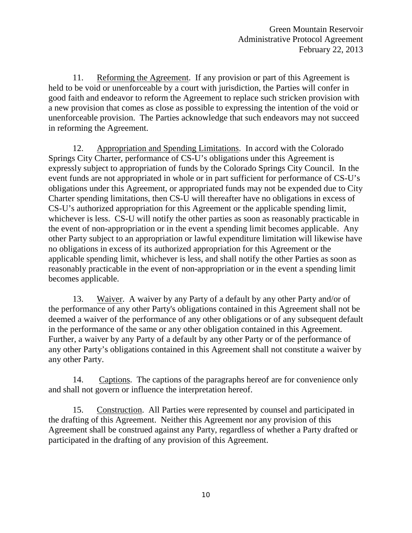11. Reforming the Agreement. If any provision or part of this Agreement is held to be void or unenforceable by a court with jurisdiction, the Parties will confer in good faith and endeavor to reform the Agreement to replace such stricken provision with a new provision that comes as close as possible to expressing the intention of the void or unenforceable provision. The Parties acknowledge that such endeavors may not succeed in reforming the Agreement.

12. Appropriation and Spending Limitations. In accord with the Colorado Springs City Charter, performance of CS-U's obligations under this Agreement is expressly subject to appropriation of funds by the Colorado Springs City Council. In the event funds are not appropriated in whole or in part sufficient for performance of CS-U's obligations under this Agreement, or appropriated funds may not be expended due to City Charter spending limitations, then CS-U will thereafter have no obligations in excess of CS-U's authorized appropriation for this Agreement or the applicable spending limit, whichever is less. CS-U will notify the other parties as soon as reasonably practicable in the event of non-appropriation or in the event a spending limit becomes applicable. Any other Party subject to an appropriation or lawful expenditure limitation will likewise have no obligations in excess of its authorized appropriation for this Agreement or the applicable spending limit, whichever is less, and shall notify the other Parties as soon as reasonably practicable in the event of non-appropriation or in the event a spending limit becomes applicable.

13. Waiver. A waiver by any Party of a default by any other Party and/or of the performance of any other Party's obligations contained in this Agreement shall not be deemed a waiver of the performance of any other obligations or of any subsequent default in the performance of the same or any other obligation contained in this Agreement. Further, a waiver by any Party of a default by any other Party or of the performance of any other Party's obligations contained in this Agreement shall not constitute a waiver by any other Party.

14. Captions. The captions of the paragraphs hereof are for convenience only and shall not govern or influence the interpretation hereof.

15. Construction. All Parties were represented by counsel and participated in the drafting of this Agreement. Neither this Agreement nor any provision of this Agreement shall be construed against any Party, regardless of whether a Party drafted or participated in the drafting of any provision of this Agreement.